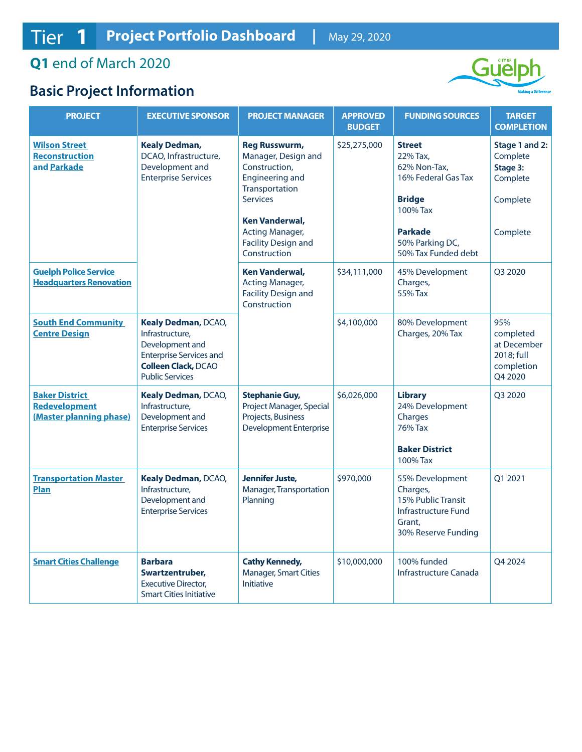## **Q1** end of March 2020

## **Basic Project Information**



| <b>PROJECT</b>                                                                               | <b>EXECUTIVE SPONSOR</b>                                                                                                                            | <b>PROJECT MANAGER</b>                                                                                                                                                                                                           | <b>APPROVED</b><br><b>BUDGET</b> | <b>FUNDING SOURCES</b>                                                                                                                                                       | <b>TARGET</b><br><b>COMPLETION</b>                                                    |
|----------------------------------------------------------------------------------------------|-----------------------------------------------------------------------------------------------------------------------------------------------------|----------------------------------------------------------------------------------------------------------------------------------------------------------------------------------------------------------------------------------|----------------------------------|------------------------------------------------------------------------------------------------------------------------------------------------------------------------------|---------------------------------------------------------------------------------------|
| <b>Wilson Street</b><br><b>Reconstruction</b><br>and Parkade<br><b>Guelph Police Service</b> | <b>Kealy Dedman,</b><br>DCAO, Infrastructure,<br>Development and<br><b>Enterprise Services</b>                                                      | <b>Reg Russwurm,</b><br>Manager, Design and<br>Construction,<br>Engineering and<br>Transportation<br><b>Services</b><br>Ken Vanderwal,<br>Acting Manager,<br><b>Facility Design and</b><br>Construction<br><b>Ken Vanderwal,</b> | \$25,275,000<br>\$34,111,000     | <b>Street</b><br>22% Tax.<br>62% Non-Tax,<br>16% Federal Gas Tax<br><b>Bridge</b><br>100% Tax<br><b>Parkade</b><br>50% Parking DC,<br>50% Tax Funded debt<br>45% Development | Stage 1 and 2:<br>Complete<br>Stage 3:<br>Complete<br>Complete<br>Complete<br>Q3 2020 |
| <b>Headquarters Renovation</b>                                                               |                                                                                                                                                     | <b>Acting Manager,</b><br><b>Facility Design and</b><br>Construction                                                                                                                                                             |                                  | Charges,<br>55% Tax                                                                                                                                                          |                                                                                       |
| <b>South End Community</b><br><b>Centre Design</b>                                           | Kealy Dedman, DCAO,<br>Infrastructure,<br>Development and<br><b>Enterprise Services and</b><br><b>Colleen Clack, DCAO</b><br><b>Public Services</b> |                                                                                                                                                                                                                                  | \$4,100,000                      | 80% Development<br>Charges, 20% Tax                                                                                                                                          | 95%<br>completed<br>at December<br>2018; full<br>completion<br>Q4 2020                |
| <b>Baker District</b><br><b>Redevelopment</b><br>(Master planning phase)                     | Kealy Dedman, DCAO,<br>Infrastructure,<br>Development and<br><b>Enterprise Services</b>                                                             | <b>Stephanie Guy,</b><br>Project Manager, Special<br>Projects, Business<br><b>Development Enterprise</b>                                                                                                                         | \$6,026,000                      | <b>Library</b><br>24% Development<br>Charges<br><b>76% Tax</b><br><b>Baker District</b><br>100% Tax                                                                          | Q3 2020                                                                               |
| <b>Transportation Master</b><br><b>Plan</b>                                                  | Kealy Dedman, DCAO,<br>Infrastructure,<br>Development and<br><b>Enterprise Services</b>                                                             | Jennifer Juste,<br>Manager, Transportation<br>Planning                                                                                                                                                                           | \$970,000                        | 55% Development<br>Charges,<br>15% Public Transit<br>Infrastructure Fund<br>Grant,<br>30% Reserve Funding                                                                    | Q1 2021                                                                               |
| <b>Smart Cities Challenge</b>                                                                | <b>Barbara</b><br>Swartzentruber,<br><b>Executive Director,</b><br><b>Smart Cities Initiative</b>                                                   | <b>Cathy Kennedy,</b><br><b>Manager, Smart Cities</b><br><b>Initiative</b>                                                                                                                                                       | \$10,000,000                     | 100% funded<br>Infrastructure Canada                                                                                                                                         | Q4 2024                                                                               |